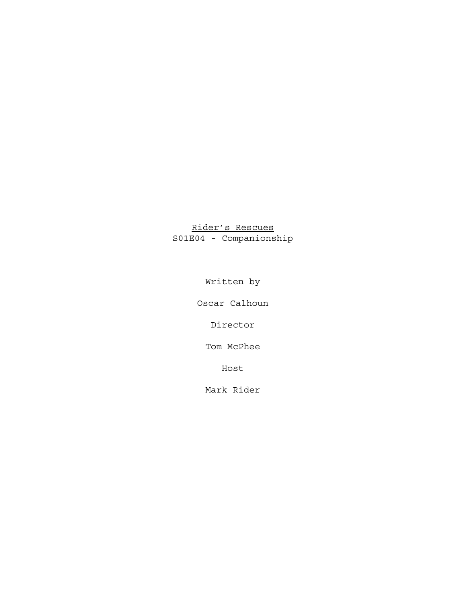# Rider's Rescues S01E04 - Companionship

Written by

Oscar Calhoun

Director

Tom McPhee

Host

Mark Rider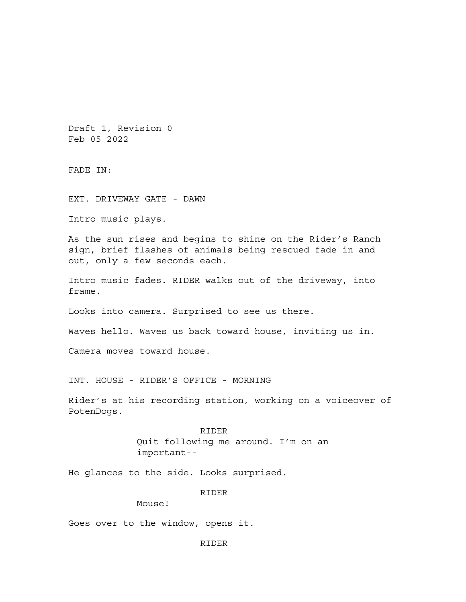Draft 1, Revision 0 Feb 05 2022

FADE IN:

EXT. DRIVEWAY GATE - DAWN

Intro music plays.

As the sun rises and begins to shine on the Rider's Ranch sign, brief flashes of animals being rescued fade in and out, only a few seconds each.

Intro music fades. RIDER walks out of the driveway, into frame.

Looks into camera. Surprised to see us there.

Waves hello. Waves us back toward house, inviting us in.

Camera moves toward house.

INT. HOUSE - RIDER'S OFFICE - MORNING

Rider's at his recording station, working on a voiceover of PotenDogs.

> RIDER Quit following me around. I'm on an important--

He glances to the side. Looks surprised.

RIDER

Mouse!

Goes over to the window, opens it.

RIDER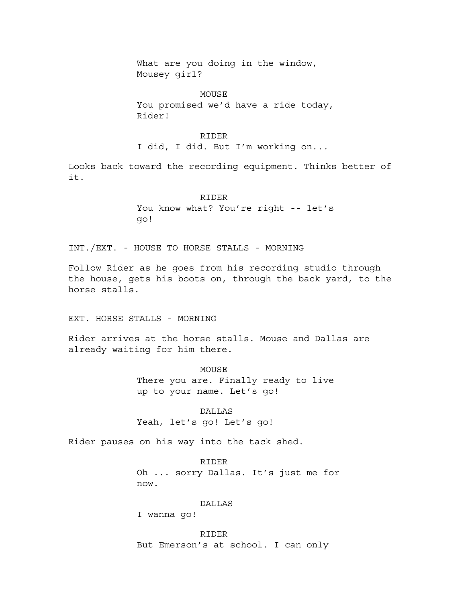What are you doing in the window, Mousey girl?

MOUSE You promised we'd have a ride today, Rider!

# RIDER

I did, I did. But I'm working on...

Looks back toward the recording equipment. Thinks better of it.

# RIDER You know what? You're right -- let's go!

INT./EXT. - HOUSE TO HORSE STALLS - MORNING

Follow Rider as he goes from his recording studio through the house, gets his boots on, through the back yard, to the horse stalls.

EXT. HORSE STALLS - MORNING

Rider arrives at the horse stalls. Mouse and Dallas are already waiting for him there.

> **MOUSE** There you are. Finally ready to live up to your name. Let's go!

DALLAS Yeah, let's go! Let's go!

Rider pauses on his way into the tack shed.

RIDER Oh ... sorry Dallas. It's just me for now.

# DALLAS

I wanna go!

RIDER But Emerson's at school. I can only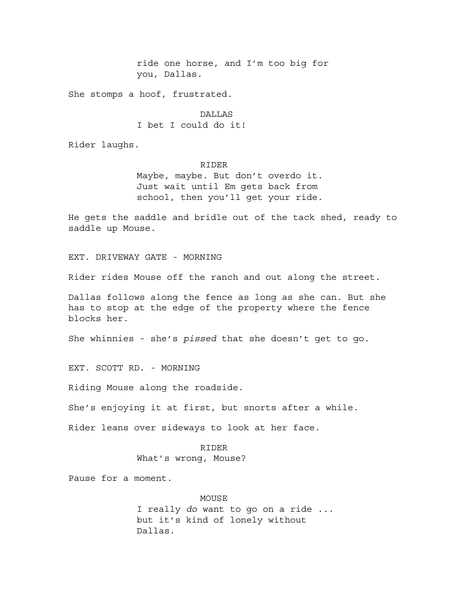ride one horse, and I'm too big for you, Dallas.

She stomps a hoof, frustrated.

DALLAS I bet I could do it!

Rider laughs.

# RIDER

Maybe, maybe. But don't overdo it. Just wait until Em gets back from school, then you'll get your ride.

He gets the saddle and bridle out of the tack shed, ready to saddle up Mouse.

EXT. DRIVEWAY GATE - MORNING

Rider rides Mouse off the ranch and out along the street.

Dallas follows along the fence as long as she can. But she has to stop at the edge of the property where the fence blocks her.

She whinnies - she's *pissed* that she doesn't get to go.

EXT. SCOTT RD. - MORNING

Riding Mouse along the roadside.

She's enjoying it at first, but snorts after a while.

Rider leans over sideways to look at her face.

# RIDER

What's wrong, Mouse?

Pause for a moment.

## MOUSE

I really *do* want to go on a ride ... but it's kind of lonely without Dallas.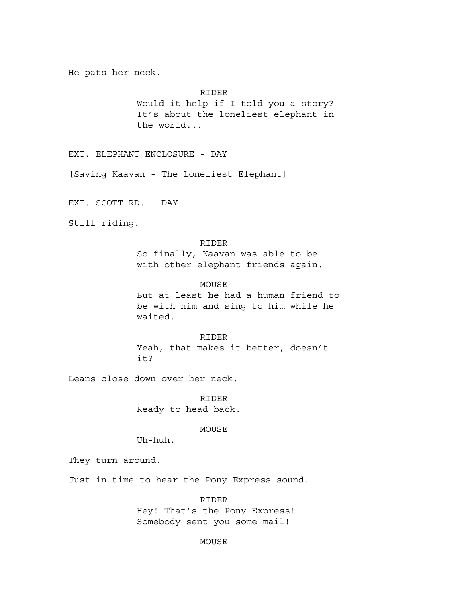He pats her neck.

RIDER

Would it help if I told you a story? It's about the loneliest elephant in the world...

EXT. ELEPHANT ENCLOSURE - DAY

[Saving Kaavan - The Loneliest Elephant]

EXT. SCOTT RD. - DAY

Still riding.

# RIDER

So finally, Kaavan was able to be with other elephant friends again.

## MOUSE

But at least he had a human friend to be with him and sing to him while he waited.

#### RIDER

Yeah, that makes it better, doesn't it?

Leans close down over her neck.

RIDER Ready to head back.

MOUSE

Uh-huh.

They turn around.

Just in time to hear the Pony Express sound.

RIDER Hey! That's the Pony Express!

Somebody sent you some mail!

# MOUSE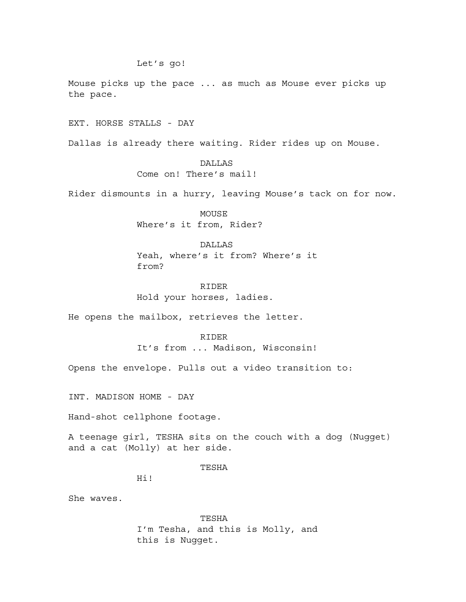Let's go!

Mouse picks up the pace ... as much as Mouse ever picks up the pace.

EXT. HORSE STALLS - DAY

Dallas is already there waiting. Rider rides up on Mouse.

**DALLAS** Come on! There's mail!

Rider dismounts in a hurry, leaving Mouse's tack on for now.

MOUSE Where's it from, Rider?

## DALLAS

Yeah, where's it from? Where's it from?

RIDER Hold your horses, ladies.

He opens the mailbox, retrieves the letter.

#### RIDER

It's from ... Madison, Wisconsin!

Opens the envelope. Pulls out a video transition to:

INT. MADISON HOME - DAY

Hand-shot cellphone footage.

A teenage girl, TESHA sits on the couch with a dog (Nugget) and a cat (Molly) at her side.

#### TESHA

Hi!

She waves.

TESHA I'm Tesha, and this is Molly, and this is Nugget.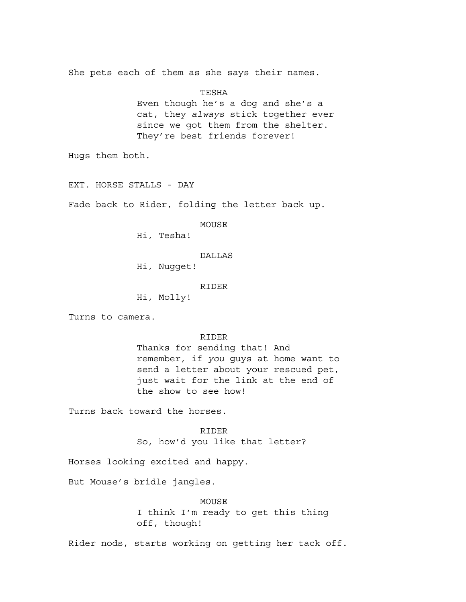She pets each of them as she says their names.

TESHA Even though he's a dog and she's a cat, they *always* stick together ever since we got them from the shelter. They're best friends forever!

Hugs them both.

EXT. HORSE STALLS - DAY

Fade back to Rider, folding the letter back up.

MOUSE

Hi, Tesha!

DALLAS

Hi, Nugget!

RIDER

Hi, Molly!

Turns to camera.

RIDER

Thanks for sending that! And remember, if *you* guys at home want to send a letter about your rescued pet, just wait for the link at the end of the show to see how!

Turns back toward the horses.

RIDER

So, how'd you like that letter?

Horses looking excited and happy.

But Mouse's bridle jangles.

MOUSE I think I'm ready to get this thing off, though!

Rider nods, starts working on getting her tack off.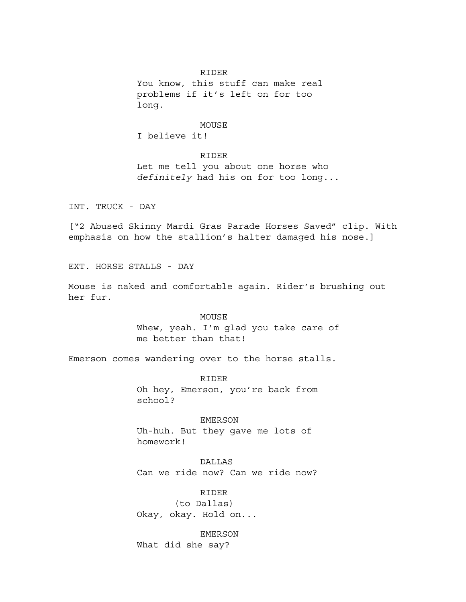## RIDER

You know, this stuff can make real problems if it's left on for too long.

# MOUSE

I believe it!

# RIDER

Let me tell you about one horse who *definitely* had his on for too long...

INT. TRUCK - DAY

["2 Abused Skinny Mardi Gras Parade Horses Saved" clip. With emphasis on how the stallion's halter damaged his nose.]

EXT. HORSE STALLS - DAY

Mouse is naked and comfortable again. Rider's brushing out her fur.

#### MOUSE

Whew, yeah. I'm glad you take care of me better than that!

Emerson comes wandering over to the horse stalls.

RIDER Oh hey, Emerson, you're back from school?

# EMERSON

Uh-huh. But they gave me lots of homework!

## **DALLAS**

Can we ride now? Can we ride now?

# RIDER

(to Dallas) Okay, okay. Hold on...

# EMERSON

What did she say?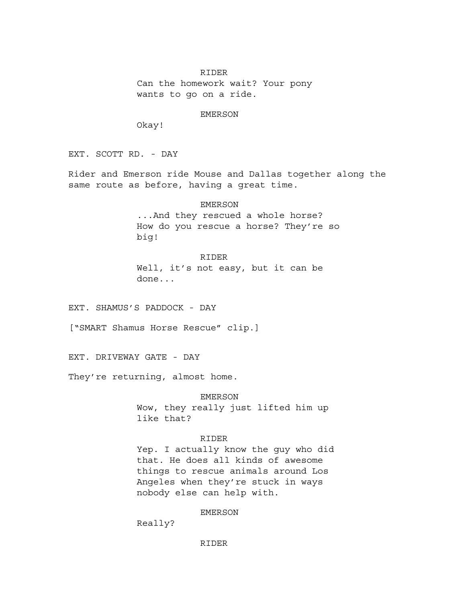#### RIDER

Can the homework wait? Your pony wants to go on a ride.

EMERSON

Okay!

EXT. SCOTT RD. - DAY

Rider and Emerson ride Mouse and Dallas together along the same route as before, having a great time.

# EMERSON

...And they rescued a whole horse? How do you rescue a horse? They're so big!

# RIDER

Well, it's not easy, but it can be done...

EXT. SHAMUS'S PADDOCK - DAY

["SMART Shamus Horse Rescue" clip.]

EXT. DRIVEWAY GATE - DAY

They're returning, almost home.

EMERSON

Wow, they really just lifted him up like that?

# RIDER

Yep. I actually know the guy who did that. He does all kinds of awesome things to rescue animals around Los Angeles when they're stuck in ways nobody else can help with.

# EMERSON

Really?

# RIDER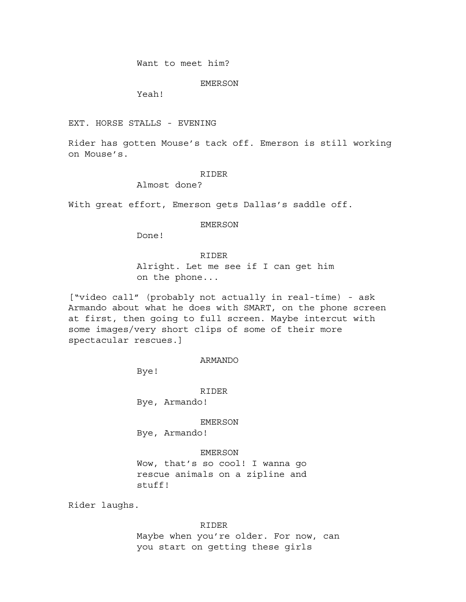Want to meet him?

EMERSON

Yeah!

EXT. HORSE STALLS - EVENING

Rider has gotten Mouse's tack off. Emerson is still working on Mouse's.

#### RIDER

Almost done?

With great effort, Emerson gets Dallas's saddle off.

EMERSON

Done!

# RIDER

Alright. Let me see if I can get him on the phone...

["video call" (probably not actually in real-time) - ask Armando about what he does with SMART, on the phone screen at first, then going to full screen. Maybe intercut with some images/very short clips of some of their more spectacular rescues.]

## ARMANDO

Bye!

RIDER

Bye, Armando!

EMERSON

Bye, Armando!

# EMERSON

Wow, that's so cool! I wanna go rescue animals on a zipline and stuff!

Rider laughs.

RIDER

Maybe when you're older. For now, can you start on getting these girls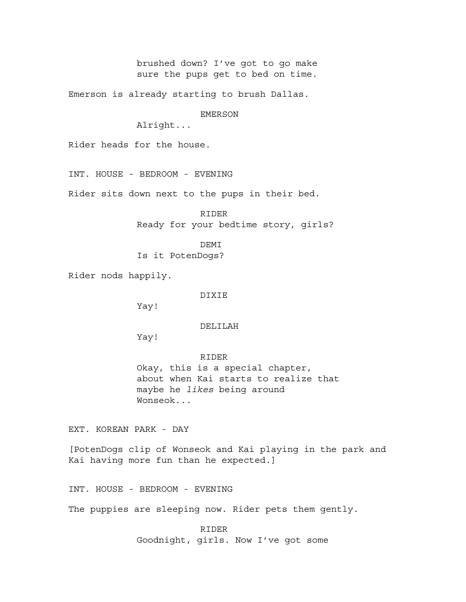brushed down? I've got to go make sure the pups get to bed on time.

Emerson is already starting to brush Dallas.

EMERSON

Alright...

Rider heads for the house.

INT. HOUSE - BEDROOM - EVENING

Rider sits down next to the pups in their bed.

RIDER Ready for your bedtime story, girls?

DEMI

Is it PotenDogs?

Rider nods happily.

DIXIE

Yay!

# DELILAH

Yay!

#### RIDER

Okay, this is a special chapter, about when Kai starts to realize that maybe he *likes* being around Wonseok...

EXT. KOREAN PARK - DAY

[PotenDogs clip of Wonseok and Kai playing in the park and Kai having more fun than he expected.]

INT. HOUSE - BEDROOM - EVENING

The puppies are sleeping now. Rider pets them gently.

RIDER Goodnight, girls. Now I've got some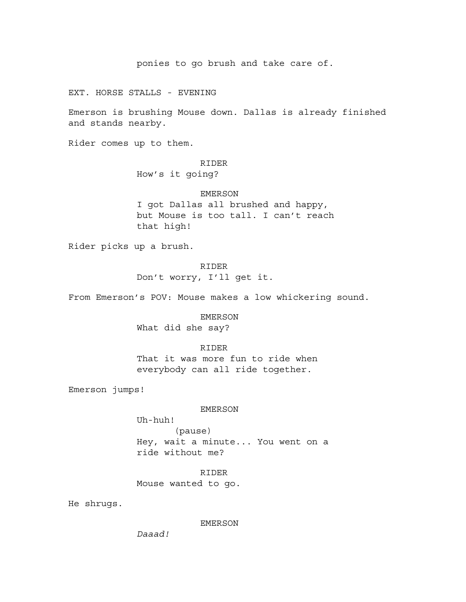ponies to go brush and take care of.

EXT. HORSE STALLS - EVENING

Emerson is brushing Mouse down. Dallas is already finished and stands nearby.

Rider comes up to them.

# RIDER

How's it going?

## EMERSON

I got Dallas all brushed and happy, but Mouse is too tall. I can't reach that high!

Rider picks up a brush.

RIDER Don't worry, I'll get it.

From Emerson's POV: Mouse makes a low whickering sound.

EMERSON What did she say?

### RIDER

That it was more fun to ride when everybody can all ride together.

Emerson jumps!

#### EMERSON

Uh-huh! (pause) Hey, wait a minute... You went on a ride without me?

RIDER Mouse wanted to go.

He shrugs.

#### EMERSON

*Daaad!*